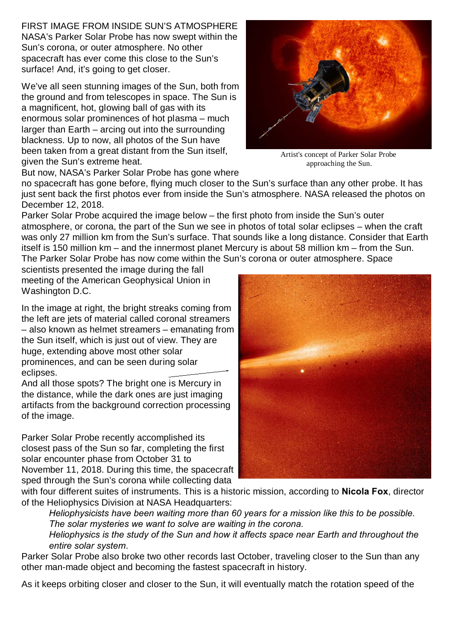FIRST IMAGE FROM INSIDE SUN'S ATMOSPHERE NASA's Parker Solar Probe has now swept within the Sun's corona, or outer atmosphere. No other spacecraft has ever come this close to the Sun's surface! And, it's going to get closer.

We've all seen stunning images of the Sun, both from the ground and from telescopes in space. The Sun is a magnificent, hot, glowing ball of gas with its enormous solar prominences of hot plasma – much larger than Earth – arcing out into the surrounding blackness. Up to now, all photos of the Sun have been taken from a great distant from the Sun itself, given the Sun's extreme heat.

But now, NASA's Parker Solar Probe has gone where

no spacecraft has gone before, flying much closer to the Sun's surface than any other probe. It has just sent back the first photos ever from inside the Sun's atmosphere. NASA released the photos on December 12, 2018.

Parker Solar Probe acquired the image below – the first photo from inside the Sun's outer atmosphere, or corona, the part of the Sun we see in photos of total solar eclipses – when the craft was only 27 million km from the Sun's surface. That sounds like a long distance. Consider that Earth itself is 150 million km – and the innermost planet Mercury is about 58 million km – from the Sun. The Parker Solar Probe has now come within the Sun's corona or outer atmosphere. Space

scientists presented the image during the fall meeting of the American Geophysical Union in Washington D.C.

In the image at right, the bright streaks coming from the left are jets of material called coronal streamers – also known as helmet streamers – emanating from the Sun itself, which is just out of view. They are huge, extending above most other solar prominences, and can be seen during solar eclipses.

And all those spots? The bright one is Mercury in the distance, while the dark ones are just imaging artifacts from the background correction processing of the image.

Parker Solar Probe recently accomplished its closest pass of the Sun so far, completing the first solar encounter phase from October 31 to November 11, 2018. During this time, the spacecraft sped through the Sun's corona while collecting data

with four different suites of instruments. This is a historic mission, according to **Nicola Fox**, director of the Heliophysics Division at NASA Headquarters:

 *Heliophysicists have been waiting more than 60 years for a mission like this to be possible. The solar mysteries we want to solve are waiting in the corona.*

 *Heliophysics is the study of the Sun and how it affects space near Earth and throughout the entire solar system*.

Parker Solar Probe also broke two other records last October, traveling closer to the Sun than any other man-made object and becoming the fastest spacecraft in history.

As it keeps orbiting closer and closer to the Sun, it will eventually match the rotation speed of the

Artist's concept of Parker Solar Probe approaching the Sun.